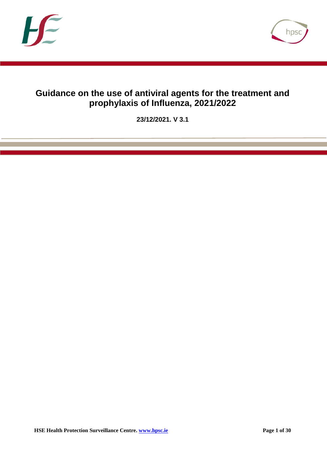



# **Guidance on the use of antiviral agents for the treatment and prophylaxis of Influenza, 2021/2022**

**23/12/2021. V 3.1**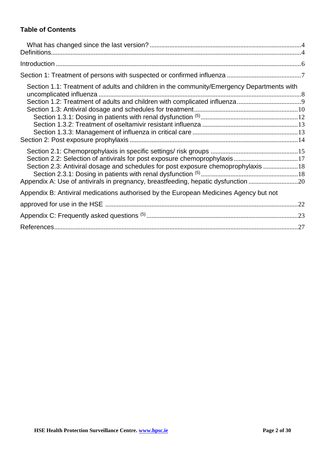## **Table of Contents**

| Section 1.1: Treatment of adults and children in the community/Emergency Departments with                                                                                                                                                         |  |
|---------------------------------------------------------------------------------------------------------------------------------------------------------------------------------------------------------------------------------------------------|--|
| Section 2.2: Selection of antivirals for post exposure chemoprophylaxis17<br>Section 2.3: Antiviral dosage and schedules for post exposure chemoprophylaxis  18<br>Appendix A: Use of antivirals in pregnancy, breastfeeding, hepatic dysfunction |  |
| Appendix B: Antiviral medications authorised by the European Medicines Agency but not                                                                                                                                                             |  |
|                                                                                                                                                                                                                                                   |  |
|                                                                                                                                                                                                                                                   |  |
|                                                                                                                                                                                                                                                   |  |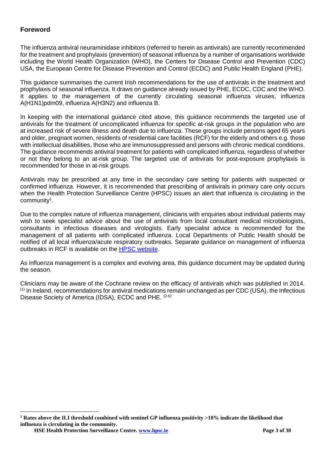### **Foreword**

The influenza antiviral neuraminidase inhibitors (referred to herein as antivirals) are currently recommended for the treatment and prophylaxis (prevention) of seasonal influenza by a number of organisations worldwide including the World Health Organization (WHO), the Centers for Disease Control and Prevention (CDC) USA, the European Centre for Disease Prevention and Control (ECDC) and Public Health England (PHE).

This guidance summarises the current Irish recommendations for the use of antivirals in the treatment and prophylaxis of seasonal influenza. It draws on guidance already issued by PHE, ECDC, CDC and the WHO. It applies to the management of the currently circulating seasonal influenza viruses, influenza A(H1N1)pdm09, influenza A(H3N2) and influenza B.

In keeping with the international guidance cited above, this guidance recommends the targeted use of antivirals for the treatment of uncomplicated influenza for specific at-risk groups in the population who are at increased risk of severe illness and death due to influenza. These groups include persons aged 65 years and older, pregnant women, residents of residential care facilities (RCF) for the elderly and others e.g. those with intellectual disabilities, those who are immunosuppressed and persons with chronic medical conditions. The guidance recommends antiviral treatment for patients with complicated influenza, regardless of whether or not they belong to an at-risk group. The targeted use of antivirals for post-exposure prophylaxis is recommended for those in at-risk groups.

Antivirals may be prescribed at any time in the secondary care setting for patients with suspected or confirmed influenza. However, it is recommended that prescribing of antivirals in primary care only occurs when the Health Protection Surveillance Centre (HPSC) issues an alert that influenza is circulating in the community<sup>1</sup>.

Due to the complex nature of influenza management, clinicians with enquiries about individual patients may wish to seek specialist advice about the use of antivirals from local consultant medical microbiologists, consultants in infectious diseases and virologists. Early specialist advice is recommended for the management of all patients with complicated influenza. Local Departments of Public Health should be notified of all local influenza/acute respiratory outbreaks. Separate guidance on management of influenza outbreaks in RCF is available on the [HPSC website.](http://www.hpsc.ie/a-z/respiratory/influenza/seasonalinfluenza/guidance/residentialcarefacilitiesguidance/)

As influenza management is a complex and evolving area, this guidance document may be updated during the season.

<span id="page-2-0"></span>Clinicians may be aware of the Cochrane review on the efficacy of antivirals which was published in 2014. (1) In Ireland, recommendations for antiviral medications remain unchanged as per CDC (USA), the Infectious Disease Society of America (IDSA), ECDC and PHE. <sup>(2-6)</sup>

**<sup>1</sup> Rates above the ILI threshold combined with sentinel GP influenza positivity >10% indicate the likelihood that influenza is circulating in the community.**

**HSE Health Protection Surveillance Centre. [www.hpsc.ie](http://www.hpsc.ie/) Page 3 of 30**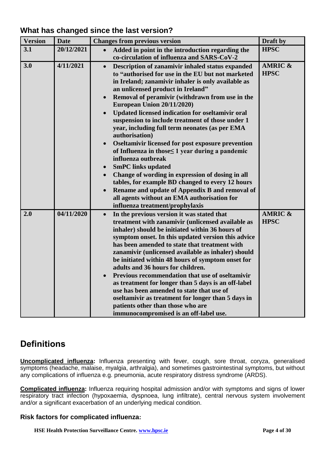**What has changed since the last version?**

| <b>Version</b> | <b>Date</b> | <b>Changes from previous version</b>                                                                    | Draft by           |
|----------------|-------------|---------------------------------------------------------------------------------------------------------|--------------------|
| 3.1            | 20/12/2021  | Added in point in the introduction regarding the<br>$\bullet$                                           | <b>HPSC</b>        |
|                |             | co-circulation of influenza and SARS-CoV-2                                                              |                    |
| 3.0            | 4/11/2021   | Description of zanamivir inhaled status expanded<br>$\bullet$                                           | <b>AMRIC &amp;</b> |
|                |             | to "authorised for use in the EU but not marketed                                                       | <b>HPSC</b>        |
|                |             | in Ireland; zanamivir inhaler is only available as                                                      |                    |
|                |             | an unlicensed product in Ireland"                                                                       |                    |
|                |             | Removal of peramivir (withdrawn from use in the                                                         |                    |
|                |             | European Union 20/11/2020)                                                                              |                    |
|                |             | Updated licensed indication for oseltamivir oral                                                        |                    |
|                |             | suspension to include treatment of those under 1                                                        |                    |
|                |             | year, including full term neonates (as per EMA                                                          |                    |
|                |             | authorisation)                                                                                          |                    |
|                |             | Oseltamivir licensed for post exposure prevention                                                       |                    |
|                |             | of Influenza in those $\leq 1$ year during a pandemic                                                   |                    |
|                |             | influenza outbreak                                                                                      |                    |
|                |             | <b>SmPC</b> links updated<br>$\bullet$                                                                  |                    |
|                |             | Change of wording in expression of dosing in all                                                        |                    |
|                |             | tables, for example BD changed to every 12 hours                                                        |                    |
|                |             | Rename and update of Appendix B and removal of                                                          |                    |
|                |             | all agents without an EMA authorisation for                                                             |                    |
|                |             | influenza treatment/prophylaxis                                                                         |                    |
| 2.0            | 04/11/2020  | In the previous version it was stated that<br>$\bullet$                                                 | <b>AMRIC &amp;</b> |
|                |             | treatment with zanamivir (unlicensed available as                                                       | <b>HPSC</b>        |
|                |             | inhaler) should be initiated within 36 hours of                                                         |                    |
|                |             | symptom onset. In this updated version this advice                                                      |                    |
|                |             | has been amended to state that treatment with                                                           |                    |
|                |             | zanamivir (unlicensed available as inhaler) should<br>be initiated within 48 hours of symptom onset for |                    |
|                |             | adults and 36 hours for children.                                                                       |                    |
|                |             | Previous recommendation that use of oseltamivir                                                         |                    |
|                |             | as treatment for longer than 5 days is an off-label                                                     |                    |
|                |             | use has been amended to state that use of                                                               |                    |
|                |             | oseltamivir as treatment for longer than 5 days in                                                      |                    |
|                |             | patients other than those who are                                                                       |                    |
|                |             | immunocompromised is an off-label use.                                                                  |                    |

# <span id="page-3-0"></span>**Definitions**

**Uncomplicated influenza:** Influenza presenting with fever, cough, sore throat, coryza, generalised symptoms (headache, malaise, myalgia, arthralgia), and sometimes gastrointestinal symptoms, but without any complications of influenza e.g. pneumonia, acute respiratory distress syndrome (ARDS).

**Complicated influenza:** Influenza requiring hospital admission and/or with symptoms and signs of lower respiratory tract infection (hypoxaemia, dyspnoea, lung infiltrate), central nervous system involvement and/or a significant exacerbation of an underlying medical condition.

### **Risk factors for complicated influenza:**

**HSE Health Protection Surveillance Centre.** *www.hpsc.ie* **Page 4 Page 4 of 30**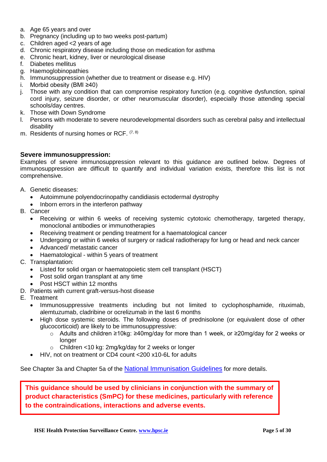- a. Age 65 years and over
- b. Pregnancy (including up to two weeks post-partum)
- c. Children aged <2 years of age
- d. Chronic respiratory disease including those on medication for asthma
- e. Chronic heart, kidney, liver or neurological disease
- f. Diabetes mellitus
- g. Haemoglobinopathies
- h. Immunosuppression (whether due to treatment or disease e.g. HIV)
- i. Morbid obesity (BMI ≥40)
- j. Those with any condition that can compromise respiratory function (e.g. cognitive dysfunction, spinal cord injury, seizure disorder, or other neuromuscular disorder), especially those attending special schools/day centres.
- k. Those with Down Syndrome
- l. Persons with moderate to severe neurodevelopmental disorders such as cerebral palsy and intellectual disability
- m. Residents of nursing homes or RCF. (7, 8)

#### **Severe immunosuppression:**

Examples of severe immunosuppression relevant to this guidance are outlined below. Degrees of immunosuppression are difficult to quantify and individual variation exists, therefore this list is not comprehensive.

- A. Genetic diseases:
	- Autoimmune polyendocrinopathy candidiasis ectodermal dystrophy
	- Inborn errors in the interferon pathway
- B. Cancer
	- Receiving or within 6 weeks of receiving systemic cytotoxic chemotherapy, targeted therapy, monoclonal antibodies or immunotherapies
	- Receiving treatment or pending treatment for a haematological cancer
	- Undergoing or within 6 weeks of surgery or radical radiotherapy for lung or head and neck cancer
	- Advanced/ metastatic cancer
	- Haematological within 5 years of treatment
- C. Transplantation:
	- Listed for solid organ or haematopoietic stem cell transplant (HSCT)
	- Post solid organ transplant at any time
	- Post HSCT within 12 months
- D. Patients with current graft-versus-host disease
- E. Treatment
	- Immunosuppressive treatments including but not limited to cyclophosphamide, rituximab, alemtuzumab, cladribine or ocrelizumab in the last 6 months
	- High dose systemic steroids. The following doses of prednisolone (or equivalent dose of other glucocorticoid) are likely to be immunosuppressive:
		- o Adults and children ≥10kg: ≥40mg/day for more than 1 week, or ≥20mg/day for 2 weeks or longer
		- o Children <10 kg: 2mg/kg/day for 2 weeks or longer
	- HIV, not on treatment or CD4 count <200 x10-6L for adults

See Chapter 3a and Chapter 5a of the [National Immunisation Guidelines](https://urldefense.com/v3/__https:/scanner.topsec.com/?d=1762&t=6aefbf363a8528d57d54d383674095359d60fca7&r=show&u=https*3A*2F*2Fwww.hse.ie*2Feng*2Fhealth*2Fimmunisation*2Fhcpinfo*2Fguidelines*2F__;JSUlJSUlJSUl!!CfJOjA!Tj_X0PWsx93VKyEgli3T_bREzVbWjEFoN8XUAPVKLFpds2Rl5xNs-MKjHzhHMpw8rg$) for more details.

**This guidance should be used by clinicians in conjunction with the summary of product characteristics (SmPC) for these medicines, particularly with reference to the contraindications, interactions and adverse events.**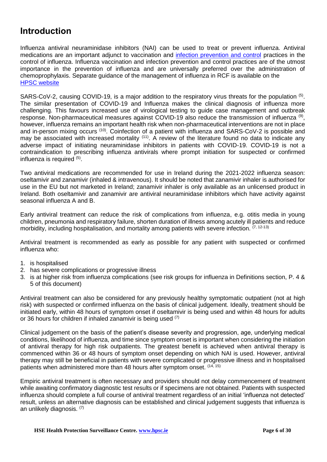# <span id="page-5-0"></span>**Introduction**

Influenza antiviral neuraminidase inhibitors (NAI) can be used to treat or prevent influenza. Antiviral medications are an important adjunct to vaccination and [infection prevention and control](https://www.hpsc.ie/a-z/respiratory/coronavirus/novelcoronavirus/guidance/infectionpreventionandcontrolguidance/hseinfectionpreventionandcontrolguidanceandframework/) practices in the control of influenza. Influenza vaccination and infection prevention and control practices are of the utmost importance in the prevention of influenza and are universally preferred over the administration of chemoprophylaxis. Separate guidance of the management of influenza in RCF is available on the [HPSC website](http://www.hpsc.ie/A-Z/Respiratory/Influenza/SeasonalInfluenza/Guidance/ResidentialCareFacilitiesGuidance/)

SARS-CoV-2, causing COVID-19, is a major addition to the respiratory virus threats for the population <sup>(5)</sup>. The similar presentation of COVID-19 and Influenza makes the clinical diagnosis of influenza more challenging. This favours increased use of virological testing to guide case management and outbreak response. Non-pharmaceutical measures against COVID-19 also reduce the transmission of influenza <sup>(9)</sup>, however, influenza remains an important health risk when non-pharmaceutical interventions are not in place and in-person mixing occurs <sup>(10)</sup>. Coinfection of a patient with influenza and SARS-CoV-2 is possible and may be associated with increased mortality <sup>(11)</sup>. A review of the literature found no data to indicate any adverse impact of initiating neuraminidase inhibitors in patients with COVID-19. COVID-19 is not a contraindication to prescribing influenza antivirals where prompt initiation for suspected or confirmed influenza is required <sup>(5)</sup>.

Two antiviral medications are recommended for use in Ireland during the 2021-2022 influenza season: oseltamivir and zanamivir (inhaled & intravenous). It should be noted that zanamivir inhaler is authorised for use in the EU but not marketed in Ireland; zanamivir inhaler is only available as an unlicensed product in Ireland. Both oseltamivir and zanamivir are antiviral neuraminidase inhibitors which have activity against seasonal influenza A and B.

Early antiviral treatment can reduce the risk of complications from influenza, e.g. otitis media in young children, pneumonia and respiratory failure, shorten duration of illness among acutely ill patients and reduce morbidity, including hospitalisation, and mortality among patients with severe infection.  $(7, 12-13)$ 

Antiviral treatment is recommended as early as possible for any patient with suspected or confirmed influenza who:

- 1. is hospitalised
- 2. has severe complications or progressive illness
- 3. is at higher risk from influenza complications (see risk groups for influenza in Definitions section, P. 4 & 5 of this document)

Antiviral treatment can also be considered for any previously healthy symptomatic outpatient (not at high risk) with suspected or confirmed influenza on the basis of clinical judgement. Ideally, treatment should be initiated early, within 48 hours of symptom onset if oseltamivir is being used and within 48 hours for adults or 36 hours for children if inhaled zanamivir is being used (7)

Clinical judgement on the basis of the patient's disease severity and progression, age, underlying medical conditions, likelihood of influenza, and time since symptom onset is important when considering the initiation of antiviral therapy for high risk outpatients. The greatest benefit is achieved when antiviral therapy is commenced within 36 or 48 hours of symptom onset depending on which NAI is used. However, antiviral therapy may still be beneficial in patients with severe complicated or progressive illness and in hospitalised patients when administered more than 48 hours after symptom onset. (14, 15)

<span id="page-5-1"></span>Empiric antiviral treatment is often necessary and providers should not delay commencement of treatment while awaiting confirmatory diagnostic test results or if specimens are not obtained. Patients with suspected influenza should complete a full course of antiviral treatment regardless of an initial 'influenza not detected' result, unless an alternative diagnosis can be established and clinical judgement suggests that influenza is an unlikely diagnosis. (7)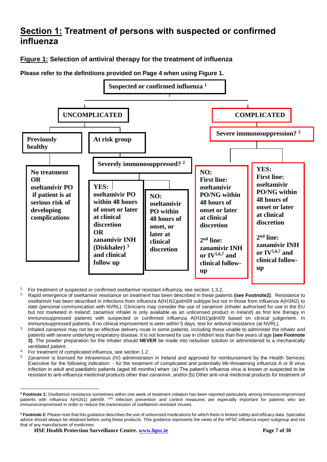# **Section 1: Treatment of persons with suspected or confirmed influenza**

**Figure 1: Selection of antiviral therapy for the treatment of influenza** 

**Please refer to the definitions provided on Page 4 when using Figure 1.**



- 1. For treatment of suspected or confirmed oseltamivir resistant influenza, see section 1.3.2.
- 2. Rapid emergence of oseltamivir resistance on treatment has been described in these patients **(see Footnote2)**. Resistance to oseltamivir has been described in infections from influenza A(H1N1)pdm09 subtype but not in those from influenza A(H3N2) to date (personal communication with NVRL). Clinicians may consider the use of zanamivir (inhaler authorised for use in the EU but not marketed in Ireland; zanamivir inhaler is only available as an unlicensed product in Ireland) as first line therapy in immunosuppressed patients with suspected or confirmed influenza A(H1N1)pdm09 based on clinical judgement. In immunosuppressed patients, if no clinical improvement is seen within 5 days, test for antiviral resistance (at NVRL).
- <sup>3.</sup> Inhaled zanamivir may not be an effective delivery route in some patients, including those unable to administer the inhaler and patients with severe underlying respiratory disease. It is not licensed for use in children less than five years of age **(see Footnote 3)**. The powder preparation for the inhaler should **NEVER** be made into nebuliser solution or administered to a mechanically ventilated patient.
- <sup>4.</sup> For treatment of complicated influenza, see section 1.2.<br><sup>5.</sup> Zanamivir is licensed for intravenous (IV) administration
- 5. Zanamivir is licensed for intravenous (IV) administration in Ireland and approved for reimbursement by the Health Services Executive for the following indication: - for the treatment of complicated and potentially life-threatening influenza A or B virus infection in adult and paediatric patients (aged ≥6 months) when: (a) The patient's influenza virus is known or suspected to be resistant to anti-influenza medicinal products other than zanamivir, and/or (b) Other anti-viral medicinal products for treatment of

 **<sup>2</sup> Footnote 1:** Oseltamivir resistance sometimes within one week of treatment initiation has been reported particularly among immunocompromised patients with influenza A(H1N1) pdm09. <sup>(16)</sup> Infection prevention and control measures are especially important for patients who are immunocompromised in order to reduce the transmission of oseltamivir-resistant viruses.

**<sup>3</sup> Footnote 2:** Please note that this guidance describes the use of unlicensed medications for which there is limited safety and efficacy data. Specialist advice should always be obtained before using these products. This guidance represents the views of the HPSC influenza expert subgroup and not that of any manufacturer of medicines.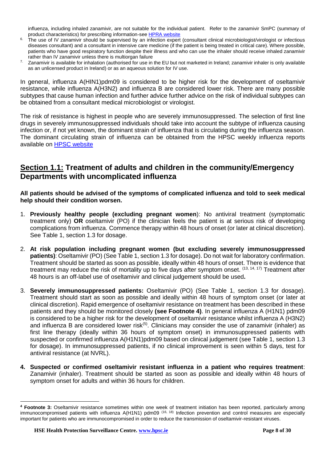influenza, including inhaled zanamivir, are not suitable for the individual patient. Refer to the zanamivir SmPC (summary of product characteristics) for prescribing information-see [HPRA website](https://www.hpra.ie/homepage/medicines/medicines-information/find-a-medicine/results/item?pano=EU/1/18/1349/001&t=Dectova)

- <sup>6.</sup> The use of IV zanamivir should be supervised by an infection expert (consultant clinical microbiologist/virologist or infectious diseases consultant) and a consultant in intensive care medicine (if the patient is being treated in critical care). Where possible, patients who have good respiratory function despite their illness and who can use the inhaler should receive inhaled zanamivir rather than IV zanamivir unless there is multiorgan failure
- <sup>7.</sup> Zanamivir is available for inhalation (authorised for use in the EU but not marketed in Ireland; zanamivir inhaler is only available as an unlicensed product in Ireland) or as an aqueous solution for IV use.

In general, influenza A(HIN1)pdm09 is considered to be higher risk for the development of oseltamivir resistance, while influenza A(H3N2) and influenza B are considered lower risk. There are many possible subtypes that cause human infection and further advice further advice on the risk of individual subtypes can be obtained from a consultant medical microbiologist or virologist.

The risk of resistance is highest in people who are severely immunosuppressed. The selection of first line drugs in severely immunosuppressed individuals should take into account the subtype of influenza causing infection or, if not yet known, the dominant strain of influenza that is circulating during the influenza season. The dominant circulating strain of influenza can be obtained from the HPSC weekly influenza reports available on [HPSC website](http://www.hpsc.ie/A-Z/Respiratory/Influenza/SeasonalInfluenza/Surveillance/InfluenzaSurveillanceReports/)

## <span id="page-7-0"></span>**Section 1.1: Treatment of adults and children in the community/Emergency Departments with uncomplicated influenza**

**All patients should be advised of the symptoms of complicated influenza and told to seek medical help should their condition worsen.** 

- 1. **Previously healthy people (excluding pregnant women**): No antiviral treatment (symptomatic treatment only) **OR** oseltamivir (PO) if the clinician feels the patient is at serious risk of developing complications from influenza. Commence therapy within 48 hours of onset (or later at clinical discretion). See Table 1, section 1.3 for dosage.
- 2. **At risk population including pregnant women (but excluding severely immunosuppressed patients)**: Oseltamivir (PO) (See Table 1, section 1.3 for dosage). Do not wait for laboratory confirmation. Treatment should be started as soon as possible, ideally within 48 hours of onset. There is evidence that treatment may reduce the risk of mortality up to five days after symptom onset. (13, 14, 17) Treatment after 48 hours is an off-label use of oseltamivir and clinical judgement should be used**.**
- 3. **Severely immunosuppressed patients:** Oseltamivir (PO) (See Table 1, section 1.3 for dosage). Treatment should start as soon as possible and ideally within 48 hours of symptom onset (or later at clinical discretion). Rapid emergence of oseltamivir resistance on treatment has been described in these patients and they should be monitored closely **(see Footnote 4)**. In general influenza A (H1N1) pdm09 is considered to be a higher risk for the development of oseltamivir resistance whilst influenza A (H3N2) and influenza B are considered lower risk<sup>(5)</sup>. Clinicians may consider the use of zanamivir (inhaler) as first line therapy (ideally within 36 hours of symptom onset) in immunosuppressed patients with suspected or confirmed influenza A(H1N1)pdm09 based on clinical judgement (see Table 1, section 1.3 for dosage). In immunosuppressed patients, if no clinical improvement is seen within 5 days, test for antiviral resistance (at NVRL).
- **4. Suspected or confirmed oseltamivir resistant influenza in a patient who requires treatment**: Zanamivir (inhaler). Treatment should be started as soon as possible and ideally within 48 hours of symptom onset for adults and within 36 hours for children.

**<sup>4</sup> Footnote 3:** Oseltamivir resistance sometimes within one week of treatment initiation has been reported, particularly among immunocompromised patients with influenza A(H1N1) pdm09<sup>(16, 18)</sup> Infection prevention and control measures are especially important for patients who are immunocompromised in order to reduce the transmission of oseltamivir-resistant viruses.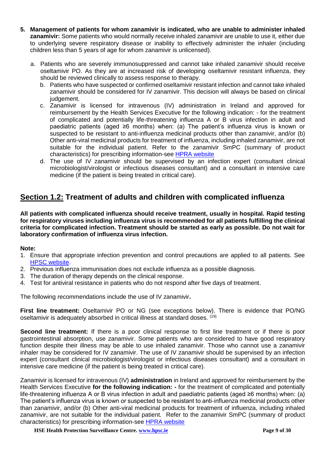- **5. Management of patients for whom zanamivir is indicated, who are unable to administer inhaled zanamivir:** Some patients who would normally receive inhaled zanamivir are unable to use it, either due to underlying severe respiratory disease or inability to effectively administer the inhaler (including children less than 5 years of age for whom zanamivir is unlicensed).
	- a. Patients who are severely immunosuppressed and cannot take inhaled zanamivir should receive oseltamivir PO. As they are at increased risk of developing oseltamivir resistant influenza, they should be reviewed clinically to assess response to therapy.
		- b. Patients who have suspected or confirmed oseltamivir resistant infection and cannot take inhaled zanamivir should be considered for IV zanamivir. This decision will always be based on clinical judgement.
		- c. Zanamivir is licensed for intravenous (IV) administration in Ireland and approved for reimbursement by the Health Services Executive for the following indication: - for the treatment of complicated and potentially life-threatening influenza A or B virus infection in adult and paediatric patients (aged ≥6 months) when: (a) The patient's influenza virus is known or suspected to be resistant to anti-influenza medicinal products other than zanamivir, and/or (b) Other anti-viral medicinal products for treatment of influenza, including inhaled zanamivir, are not suitable for the individual patient. Refer to the zanamivir SmPC (summary of product characteristics) for prescribing information-see [HPRA website](https://www.hpra.ie/homepage/medicines/medicines-information/find-a-medicine/results/item?pano=EU/1/18/1349/001&t=Dectova)
		- d. The use of IV zanamivir should be supervised by an infection expert (consultant clinical microbiologist/virologist or infectious diseases consultant) and a consultant in intensive care medicine (if the patient is being treated in critical care).

## <span id="page-8-0"></span>**Section 1.2: Treatment of adults and children with complicated influenza**

**All patients with complicated influenza should receive treatment, usually in hospital. Rapid testing for respiratory viruses including influenza virus is recommended for all patients fulfilling the clinical criteria for complicated infection. Treatment should be started as early as possible. Do not wait for laboratory confirmation of influenza virus infection.** 

#### **Note:**

- 1. Ensure that appropriate infection prevention and control precautions are applied to all patients. See [HPSC website.](https://www.hpsc.ie/a-z/respiratory/coronavirus/novelcoronavirus/guidance/infectionpreventionandcontrolguidance/hseinfectionpreventionandcontrolguidanceandframework/)
- 2. Previous influenza immunisation does not exclude influenza as a possible diagnosis.
- 3. The duration of therapy depends on the clinical response.
- 4. Test for antiviral resistance in patients who do not respond after five days of treatment.

The following recommendations include the use of IV zanamivir**.** 

**First line treatment:** Oseltamivir PO or NG (see exceptions below). There is evidence that PO/NG oseltamivir is adequately absorbed in critical illness at standard doses. (19)

**Second line treatment:** If there is a poor clinical response to first line treatment or if there is poor gastrointestinal absorption, use zanamivir. Some patients who are considered to have good respiratory function despite their illness may be able to use inhaled zanamivir. Those who cannot use a zanamivir inhaler may be considered for IV zanamivir. The use of IV zanamivir should be supervised by an infection expert (consultant clinical microbiologist/virologist or infectious diseases consultant) and a consultant in intensive care medicine (if the patient is being treated in critical care).

Zanamivir is licensed for intravenous (IV) **administration** in Ireland and approved for reimbursement by the Health Services Executive **for the following indication: -** for the treatment of complicated and potentially life-threatening influenza A or B virus infection in adult and paediatric patients (aged ≥6 months) when: (a) The patient's influenza virus is known or suspected to be resistant to anti-influenza medicinal products other than zanamivir, and/or (b) Other anti-viral medicinal products for treatment of influenza, including inhaled zanamivir, are not suitable for the individual patient. Refer to the zanamivir SmPC (summary of product characteristics) for prescribing information-see [HPRA website](https://www.hpra.ie/homepage/medicines/medicines-information/find-a-medicine/results/item?pano=EU/1/18/1349/001&t=Dectova)

**HSE Health Protection Surveillance Centre.** *www.hpsc.ie* **Page 9 of 30 Page 9** of 30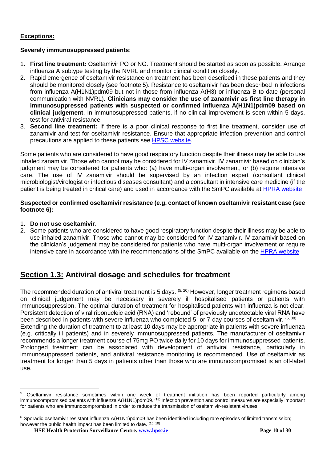#### **Exceptions:**

#### **Severely immunosuppressed patients**:

- 1. **First line treatment:** Oseltamivir PO or NG. Treatment should be started as soon as possible. Arrange influenza A subtype testing by the NVRL and monitor clinical condition closely.
- 2. Rapid emergence of oseltamivir resistance on treatment has been described in these patients and they should be monitored closely (see footnote 5). Resistance to oseltamivir has been described in infections from influenza A(H1N1)pdm09 but not in those from influenza A(H3) or influenza B to date (personal communication with NVRL). **Clinicians may consider the use of zanamivir as first line therapy in immunosuppressed patients with suspected or confirmed influenza A(H1N1)pdm09 based on clinical judgement**. In immunosuppressed patients, if no clinical improvement is seen within 5 days, test for antiviral resistance.
- 3. **Second line treatment:** If there is a poor clinical response to first line treatment, consider use of zanamivir and test for oseltamivir resistance. Ensure that appropriate infection prevention and control precautions are applied to these patients see [HPSC website.](https://www.hpsc.ie/a-z/respiratory/coronavirus/novelcoronavirus/guidance/infectionpreventionandcontrolguidance/hseinfectionpreventionandcontrolguidanceandframework/)

Some patients who are considered to have good respiratory function despite their illness may be able to use inhaled zanamivir. Those who cannot may be considered for IV zanamivir. IV zanamivir based on clinician's judgment may be considered for patients who: (a) have multi-organ involvement, or (b) require intensive care. The use of IV zanamivir should be supervised by an infection expert (consultant clinical microbiologist/virologist or infectious diseases consultant) and a consultant in intensive care medicine (if the patient is being treated in critical care) and used in accordance with the SmPC available at [HPRA website](https://www.hpra.ie/homepage/medicines/medicines-information/find-a-medicine/results/item?pano=EU/1/18/1349/001&t=Dectova)

#### **Suspected or confirmed oseltamivir resistance (e.g. contact of known oseltamivir resistant case (see footnote 6):**

1. **Do not use oseltamivir**.

2. Some patients who are considered to have good respiratory function despite their illness may be able to use inhaled zanamivir. Those who cannot may be considered for IV zanamivir. IV zanamivir based on the clinician's judgement may be considered for patients who have multi-organ involvement or require intensive care in accordance with the recommendations of the SmPC available on the [HPRA website](https://www.hpra.ie/homepage/medicines/medicines-information/find-a-medicine/results/item?pano=EU/1/18/1349/001&t=Dectova)

## <span id="page-9-0"></span>**Section 1.3: Antiviral dosage and schedules for treatment**

The recommended duration of antiviral treatment is 5 days. <sup>(5, 20)</sup> However, longer treatment regimens based on clinical judgement may be necessary in severely ill hospitalised patients or patients with immunosuppression. The optimal duration of treatment for hospitalised patients with influenza is not clear. Persistent detection of viral ribonucleic acid (RNA) and 'rebound' of previously undetectable viral RNA have been described in patients with severe influenza who completed 5- or 7-day courses of oseltamivir. (5, 38) Extending the duration of treatment to at least 10 days may be appropriate in patients with severe influenza (e.g. critically ill patients) and in severely immunosuppressed patients. The manufacturer of oseltamivir recommends a longer treatment course of 75mg PO twice daily for 10 days for immunosuppressed patients. Prolonged treatment can be associated with development of antiviral resistance, particularly in immunosuppressed patients, and antiviral resistance monitoring is recommended. Use of oseltamivir as treatment for longer than 5 days in patients other than those who are immunocompromised is an off-label use.

**<sup>5</sup>** Oseltamivir resistance sometimes within one week of treatment initiation has been reported particularly among immunocompromised patients with influenza A(H1N1)pdm09. <sup>(18)</sup> Infection prevention and control measures are especially important for patients who are immunocompromised in order to reduce the transmission of oseltamivir-resistant viruses

**<sup>6</sup>** Sporadic oseltamivir resistant influenza A(H1N1)pdm09 has been identified including rare episodes of limited transmission; however the public health impact has been limited to date. (16, 18)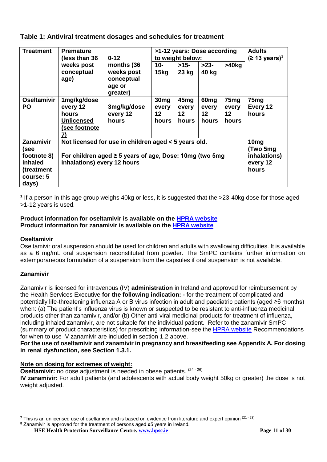### **Table 1: Antiviral treatment dosages and schedules for treatment**

| <b>Treatment</b>                                                                | >1-12 years: Dose according<br><b>Premature</b><br>to weight below:<br>$0 - 12$<br>(less than 36                                                    |                                                              | <b>Adults</b><br>$(≥ 13 \text{ years})^1$ |                                                                    |                                               |                                          |                                       |
|---------------------------------------------------------------------------------|-----------------------------------------------------------------------------------------------------------------------------------------------------|--------------------------------------------------------------|-------------------------------------------|--------------------------------------------------------------------|-----------------------------------------------|------------------------------------------|---------------------------------------|
|                                                                                 | weeks post<br>conceptual<br>age)                                                                                                                    | months (36<br>weeks post<br>conceptual<br>age or<br>greater) | 10-<br>15kg                               | >15-<br>23 kg                                                      | $>23-$<br>40 kg                               | $>40$ kg                                 |                                       |
| <b>Oseltamivir</b><br><b>PO</b>                                                 | 1mg/kg/dose<br>every 12<br>hours<br><b>Unlicensed</b><br>(see footnote                                                                              | 3mg/kg/dose<br>every 12<br>hours                             | 30 <sub>mg</sub><br>every<br>12<br>hours  | 45 <sub>mg</sub><br>every<br>12<br>hours                           | 60 <sub>mg</sub><br>every<br>$12 \,$<br>hours | 75 <sub>mg</sub><br>every<br>12<br>hours | 75 <sub>mg</sub><br>Every 12<br>hours |
| Zanamivir<br>(see<br>footnote 8)<br>inhaled<br>(treatment<br>course: 5<br>days) | Not licensed for use in children aged < 5 years old.<br>For children aged $\geq$ 5 years of age, Dose: 10mg (two 5mg<br>inhalations) every 12 hours |                                                              |                                           | 10 <sub>mg</sub><br>(Two 5mg)<br>inhalations)<br>every 12<br>hours |                                               |                                          |                                       |

**1** If a person in this age group weighs 40kg or less, it is suggested that the >23-40kg dose for those aged >1-12 years is used.

#### **Product information for oseltamivir is available on the [HPRA website](https://www.hpra.ie/homepage/medicines/medicines-information/find-a-medicine/results?query=Oseltamivir&field=ACTIVESUBSTANCES) Product information for zanamivir is available on the [HPRA website](https://www.hpra.ie/homepage/medicines/medicines-information/find-a-medicine/results?query=relenza&field)**

#### **Oseltamivir**

Oseltamivir oral suspension should be used for children and adults with swallowing difficulties. It is available as a 6 mg/mL oral suspension reconstituted from powder. The SmPC contains further information on extemporaneous formulation of a suspension from the capsules if oral suspension is not available.

### **Zanamivir**

Zanamivir is licensed for intravenous (IV) **administration** in Ireland and approved for reimbursement by the Health Services Executive **for the following indication: -** for the treatment of complicated and potentially life-threatening influenza A or B virus infection in adult and paediatric patients (aged ≥6 months) when: (a) The patient's influenza virus is known or suspected to be resistant to anti-influenza medicinal products other than zanamivir, and/or (b) Other anti-viral medicinal products for treatment of influenza, including inhaled zanamivir, are not suitable for the individual patient. Refer to the zanamivir SmPC (summary of product characteristics) for prescribing information-see the [HPRA website](https://www.hpra.ie/homepage/medicines/medicines-information/find-a-medicine/results/item?pano=EU/1/18/1349/001&t=Dectova) Recommendations for when to use IV zanamivir are included in section 1.2 above.

**For the use of oseltamivir and zanamivir in pregnancy and breastfeeding see Appendix A. For dosing in renal dysfunction, see Section 1.3.1.**

### **Note on dosing for extremes of weight:**

**Oseltamivir:** no dose adjustment is needed in obese patients. <sup>(24 - 26)</sup> **IV zanamivir:** For adult patients (and adolescents with actual body weight 50kg or greater) the dose is not weight adjusted.

 **<sup>7</sup>** This is an unlicensed use of oseltamivir and is based on evidence from literature and expert opinion (21 - 23)

**HSE Health Protection Surveillance Centre. www.hpsc.ie Page 11 of 30 Page 11** of 30 **<sup>8</sup>** Zanamivir is approved for the treatment of persons aged ≥5 years in Ireland.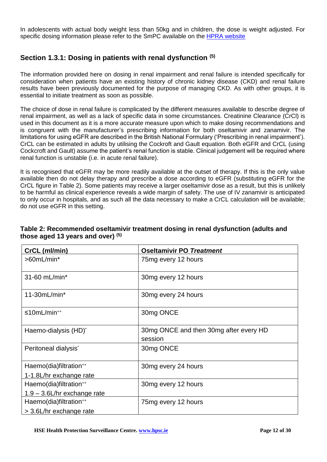In adolescents with actual body weight less than 50kg and in children, the dose is weight adjusted. For specific dosing information please refer to the SmPC available on the [HPRA website](https://www.hpra.ie/homepage/medicines/medicines-information/find-a-medicine/results/item?pano=EU/1/18/1349/001&t=Dectova)

### <span id="page-11-0"></span>**Section 1.3.1: Dosing in patients with renal dysfunction (5)**

The information provided here on dosing in renal impairment and renal failure is intended specifically for consideration when patients have an existing history of chronic kidney disease (CKD) and renal failure results have been previously documented for the purpose of managing CKD. As with other groups, it is essential to initiate treatment as soon as possible.

The choice of dose in renal failure is complicated by the different measures available to describe degree of renal impairment, as well as a lack of specific data in some circumstances. Creatinine Clearance (CrCl) is used in this document as it is a more accurate measure upon which to make dosing recommendations and is congruent with the manufacturer's prescribing information for both oseltamivir and zanamivir. The limitations for using eGFR are described in the British National Formulary ('Prescribing in renal impairment'). CrCL can be estimated in adults by utilising the Cockroft and Gault equation. Both eGFR and CrCL (using Cockcroft and Gault) assume the patient's renal function is stable. Clinical judgement will be required where renal function is unstable (i.e. in acute renal failure).

It is recognised that eGFR may be more readily available at the outset of therapy. If this is the only value available then do not delay therapy and prescribe a dose according to eGFR (substituting eGFR for the CrCL figure in Table 2). Some patients may receive a larger oseltamivir dose as a result, but this is unlikely to be harmful as clinical experience reveals a wide margin of safety. The use of IV zanamivir is anticipated to only occur in hospitals, and as such all the data necessary to make a CrCL calculation will be available; do not use eGFR in this setting.

| CrCL (ml/min)                      | <b>Oseltamivir PO Treatment</b>                   |
|------------------------------------|---------------------------------------------------|
| $>60mL/min*$                       | 75mg every 12 hours                               |
| 31-60 mL/min*                      | 30mg every 12 hours                               |
| $11-30mL/min*$                     | 30mg every 24 hours                               |
| $\leq 10$ mL/min <sup>++</sup>     | 30mg ONCE                                         |
| Haemo-dialysis (HD) <sup>*</sup>   | 30mg ONCE and then 30mg after every HD<br>session |
| Peritoneal dialysis <sup>*</sup>   | 30mg ONCE                                         |
| Haemo(dia)filtration <sup>++</sup> | 30mg every 24 hours                               |
| 1-1.8L/hr exchange rate            |                                                   |
| Haemo(dia)filtration <sup>++</sup> | 30mg every 12 hours                               |
| $1.9 - 3.6$ L/hr exchange rate     |                                                   |
| Haemo(dia)filtration <sup>++</sup> | 75mg every 12 hours                               |
| > 3.6L/hr exchange rate            |                                                   |

### **Table 2: Recommended oseltamivir treatment dosing in renal dysfunction (adults and those aged 13 years and over) (5)**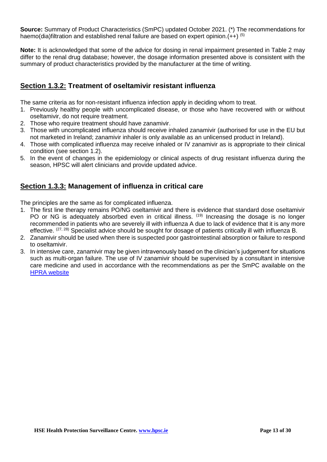**Source:** Summary of Product Characteristics (SmPC) updated October 2021. (\*) The recommendations for haemo(dia)filtration and established renal failure are based on expert opinion.  $(++)$  (5)

**Note:** It is acknowledged that some of the advice for dosing in renal impairment presented in Table 2 may differ to the renal drug database; however, the dosage information presented above is consistent with the summary of product characteristics provided by the manufacturer at the time of writing.

### <span id="page-12-0"></span>**Section 1.3.2: Treatment of oseltamivir resistant influenza**

The same criteria as for non-resistant influenza infection apply in deciding whom to treat.

- 1. Previously healthy people with uncomplicated disease, or those who have recovered with or without oseltamivir, do not require treatment.
- 2. Those who require treatment should have zanamivir.
- 3. Those with uncomplicated influenza should receive inhaled zanamivir (authorised for use in the EU but not marketed in Ireland; zanamivir inhaler is only available as an unlicensed product in Ireland).
- 4. Those with complicated influenza may receive inhaled or IV zanamivir as is appropriate to their clinical condition (see section 1.2).
- 5. In the event of changes in the epidemiology or clinical aspects of drug resistant influenza during the season, HPSC will alert clinicians and provide updated advice.

### <span id="page-12-1"></span>**Section 1.3.3: Management of influenza in critical care**

The principles are the same as for complicated influenza.

- 1. The first line therapy remains PO/NG oseltamivir and there is evidence that standard dose oseltamivir PO or NG is adequately absorbed even in critical illness. <sup>(19)</sup> Increasing the dosage is no longer recommended in patients who are severely ill with influenza A due to lack of evidence that it is any more effective. <sup>(27, 28)</sup> Specialist advice should be sought for dosage of patients critically ill with influenza B.
- 2. Zanamivir should be used when there is suspected poor gastrointestinal absorption or failure to respond to oseltamivir.
- <span id="page-12-2"></span>3. In intensive care, zanamivir may be given intravenously based on the clinician's judgement for situations such as multi-organ failure. The use of IV zanamivir should be supervised by a consultant in intensive care medicine and used in accordance with the recommendations as per the SmPC available on the [HPRA website](https://www.hpra.ie/homepage/medicines/medicines-information/find-a-medicine/results/item?pano=EU/1/18/1349/001&t=Dectova)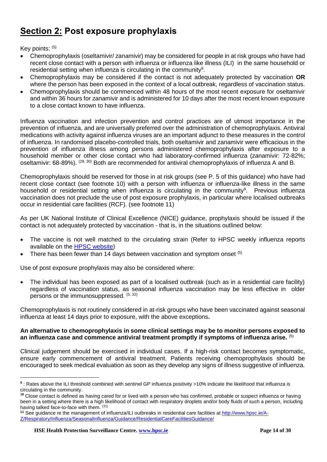# **Section 2: Post exposure prophylaxis**

Key points: (5)

- Chemoprophylaxis (oseltamivir/ zanamivir) may be considered for people in at risk groups who have had recent close contact with a person with influenza or influenza like illness (ILI) in the same household or residential setting when influenza is circulating in the community<sup>9</sup>.
- Chemoprophylaxis may be considered if the contact is not adequately protected by vaccination **OR** where the person has been exposed in the context of a local outbreak, regardless of vaccination status.
- Chemoprophylaxis should be commenced within 48 hours of the most recent exposure for oseltamivir and within 36 hours for zanamivir and is administered for 10 days after the most recent known exposure to a close contact known to have influenza.

Influenza vaccination and infection prevention and control practices are of utmost importance in the prevention of influenza, and are universally preferred over the administration of chemoprophylaxis. Antiviral medications with activity against influenza viruses are an important adjunct to these measures in the control of influenza. In randomised placebo-controlled trials, both oseltamivir and zanamivir were efficacious in the prevention of influenza illness among persons administered chemoprophylaxis after exposure to a household member or other close contact who had laboratory-confirmed influenza (zanamivir: 72-82%; oseltamivir: 68-89%). <sup>(29, 30)</sup> Both are recommended for antiviral chemoprophylaxis of influenza A and B.

Chemoprophylaxis should be reserved for those in at risk groups (see P. 5 of this guidance) who have had recent close contact (see footnote 10) with a person with influenza or influenza-like illness in the same household or residential setting when influenza is circulating in the community<sup>9</sup>. Previous influenza vaccination does not preclude the use of post exposure prophylaxis, in particular where localised outbreaks occur in residential care facilities (RCF). (see footnote 11)

As per UK National Institute of Clinical Excellence (NICE) guidance, prophylaxis should be issued if the contact is not adequately protected by vaccination - that is, in the situations outlined below:

- The vaccine is not well matched to the circulating strain (Refer to HPSC weekly influenza reports available on the [HPSC website\)](http://www.hpsc.ie/A-Z/Respiratory/Influenza/SeasonalInfluenza/Surveillance/InfluenzaSurveillanceReports/)
- There has been fewer than 14 days between vaccination and symptom onset (5)

Use of post exposure prophylaxis may also be considered where:

• The individual has been exposed as part of a localised outbreak (such as in a residential care facility) regardless of vaccination status, as seasonal influenza vaccination may be less effective in older persons or the immunosuppressed. <sup>(5, 32)</sup>

Chemoprophylaxis is not routinely considered in at-risk groups who have been vaccinated against seasonal influenza at least 14 days prior to exposure, with the above exceptions**.** 

#### **An alternative to chemoprophylaxis in some clinical settings may be to monitor persons exposed to an influenza case and commence antiviral treatment promptly if symptoms of influenza arise.** (5)

Clinical judgement should be exercised in individual cases. If a high-risk contact becomes symptomatic, ensure early commencement of antiviral treatment. Patients receiving chemoprophylaxis should be encouraged to seek medical evaluation as soon as they develop any signs of illness suggestive of influenza.

**<sup>9</sup>** : Rates above the ILI threshold combined with sentinel GP influenza positivity >10% indicate the likelihood that influenza is circulating in the community.

**<sup>10</sup>** Close contact is defined as having cared for or lived with a person who has confirmed, probable or suspect influenza or having been in a setting where there is a high likelihood of contact with respiratory droplets and/or body fluids of such a person, including having talked face-to-face with them. (31)

**<sup>11</sup>** See guidance re the management of influenza/ILI outbreaks in residential care facilities at [http://www.hpsc.ie/A-](http://www.hpsc.ie/A-Z/Respiratory/Influenza/SeasonalInfluenza/Guidance/ResidentialCareFacilitiesGuidance/)[Z/Respiratory/Influenza/SeasonalInfluenza/Guidance/ResidentialCareFacilitiesGuidance/](http://www.hpsc.ie/A-Z/Respiratory/Influenza/SeasonalInfluenza/Guidance/ResidentialCareFacilitiesGuidance/)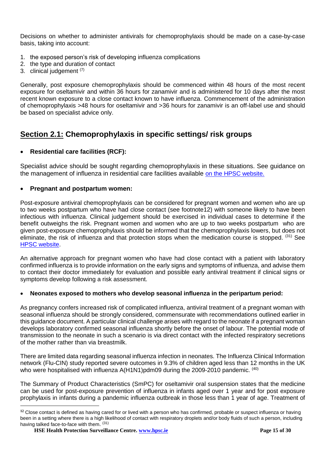Decisions on whether to administer antivirals for chemoprophylaxis should be made on a case-by-case basis, taking into account:

- 1. the exposed person's risk of developing influenza complications
- 2. the type and duration of contact
- 3. clinical judgement  $(7)$

Generally, post exposure chemoprophylaxis should be commenced within 48 hours of the most recent exposure for oseltamivir and within 36 hours for zanamivir and is administered for 10 days after the most recent known exposure to a close contact known to have influenza. Commencement of the administration of chemoprophylaxis >48 hours for oseltamivir and >36 hours for zanamivir is an off-label use and should be based on specialist advice only.

## <span id="page-14-0"></span>**Section 2.1: Chemoprophylaxis in specific settings/ risk groups**

#### • **Residential care facilities (RCF):**

Specialist advice should be sought regarding chemoprophylaxis in these situations. See guidance on the management of influenza in residential care facilities available [on the HPSC website.](https://www.hpsc.ie/a-z/respiratory/coronavirus/novelcoronavirus/guidance/infectionpreventionandcontrolguidance/residentialcarefacilities/IPC%20and%20PH%20guidance%20for%20outbreaks.pdf)

#### • **Pregnant and postpartum women:**

Post-exposure antiviral chemoprophylaxis can be considered for pregnant women and women who are up to two weeks postpartum who have had close contact (see footnote12) with someone likely to have been infectious with influenza. Clinical judgement should be exercised in individual cases to determine if the benefit outweighs the risk. Pregnant women and women who are up to two weeks postpartum who are given post-exposure chemoprophylaxis should be informed that the chemoprophylaxis lowers, but does not eliminate, the risk of influenza and that protection stops when the medication course is stopped. (31) See [HPSC website.](http://www.hpsc.ie/a-z/respiratory/influenza/seasonalinfluenza/guidance/pregnancyguidance/)

An alternative approach for pregnant women who have had close contact with a patient with laboratory confirmed influenza is to provide information on the early signs and symptoms of influenza, and advise them to contact their doctor immediately for evaluation and possible early antiviral treatment if clinical signs or symptoms develop following a risk assessment.

#### • **Neonates exposed to mothers who develop seasonal influenza in the peripartum period:**

As pregnancy confers increased risk of complicated influenza, antiviral treatment of a pregnant woman with seasonal influenza should be strongly considered, commensurate with recommendations outlined earlier in this guidance document. A particular clinical challenge arises with regard to the neonate if a pregnant woman develops laboratory confirmed seasonal influenza shortly before the onset of labour. The potential mode of transmission to the neonate in such a scenario is via direct contact with the infected respiratory secretions of the mother rather than via breastmilk.

There are limited data regarding seasonal influenza infection in neonates. The Influenza Clinical Information network (Flu-CIN) study reported severe outcomes in 9.3% of children aged less than 12 months in the UK who were hospitalised with influenza  $A(H1N1)$ pdm09 during the 2009-2010 pandemic.  $^{(40)}$ 

The Summary of Product Characteristics (SmPC) for oseltamivir oral suspension states that the medicine can be used for post-exposure prevention of influenza in infants aged over 1 year and for post exposure prophylaxis in infants during a pandemic influenza outbreak in those less than 1 year of age. Treatment of

**<sup>12</sup>** Close contact is defined as having cared for or lived with a person who has confirmed, probable or suspect influenza or having been in a setting where there is a high likelihood of contact with respiratory droplets and/or body fluids of such a person, including having talked face-to-face with them. (31)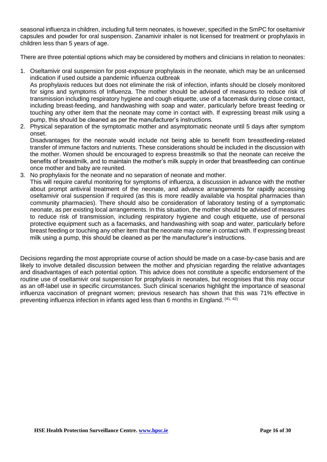seasonal influenza in children, including full term neonates, is however, specified in the SmPC for oseltamivir capsules and powder for oral suspension. Zanamivir inhaler is not licensed for treatment or prophylaxis in children less than 5 years of age.

There are three potential options which may be considered by mothers and clinicians in relation to neonates:

- 1. Oseltamivir oral suspension for post-exposure prophylaxis in the neonate, which may be an unlicensed indication if used outside a pandemic influenza outbreak As prophylaxis reduces but does not eliminate the risk of infection, infants should be closely monitored for signs and symptoms of Influenza. The mother should be advised of measures to reduce risk of transmission including respiratory hygiene and cough etiquette, use of a facemask during close contact, including breast-feeding, and handwashing with soap and water, particularly before breast feeding or touching any other item that the neonate may come in contact with. If expressing breast milk using a pump, this should be cleaned as per the manufacturer's instructions.
- 2. Physical separation of the symptomatic mother and asymptomatic neonate until 5 days after symptom onset.

Disadvantages for the neonate would include not being able to benefit from breastfeeding-related transfer of immune factors and nutrients. These considerations should be included in the discussion with the mother. Women should be encouraged to express breastmilk so that the neonate can receive the benefits of breastmilk, and to maintain the mother's milk supply in order that breastfeeding can continue once mother and baby are reunited.

3. No prophylaxis for the neonate and no separation of neonate and mother.

This will require careful monitoring for symptoms of influenza, a discussion in advance with the mother about prompt antiviral treatment of the neonate, and advance arrangements for rapidly accessing oseltamivir oral suspension if required (as this is more readily available via hospital pharmacies than community pharmacies). There should also be consideration of laboratory testing of a symptomatic neonate, as per existing local arrangements. In this situation, the mother should be advised of measures to reduce risk of transmission, including respiratory hygiene and cough etiquette, use of personal protective equipment such as a facemasks, and handwashing with soap and water, particularly before breast feeding or touching any other item that the neonate may come in contact with. If expressing breast milk using a pump, this should be cleaned as per the manufacturer's instructions.

<span id="page-15-0"></span>Decisions regarding the most appropriate course of action should be made on a case-by-case basis and are likely to involve detailed discussion between the mother and physician regarding the relative advantages and disadvantages of each potential option. This advice does not constitute a specific endorsement of the routine use of oseltamivir oral suspension for prophylaxis in neonates, but recognises that this may occur as an off-label use in specific circumstances. Such clinical scenarios highlight the importance of seasonal influenza vaccination of pregnant women; previous research has shown that this was 71% effective in preventing influenza infection in infants aged less than 6 months in England. (41, 42)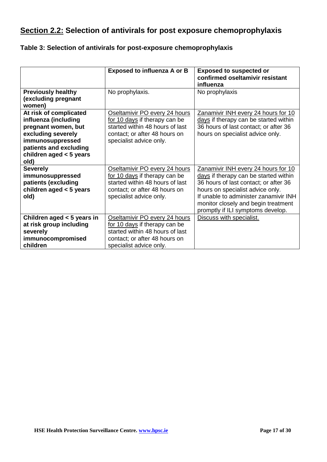# **Section 2.2: Selection of antivirals for post exposure chemoprophylaxis**

| Table 3: Selection of antivirals for post-exposure chemoprophylaxis |  |  |
|---------------------------------------------------------------------|--|--|
|---------------------------------------------------------------------|--|--|

<span id="page-16-0"></span>

|                                                                                                                                                                                | <b>Exposed to influenza A or B</b>                                                                                                                            | <b>Exposed to suspected or</b><br>confirmed oseltamivir resistant<br>influenza                                                                                                                                                                                                 |
|--------------------------------------------------------------------------------------------------------------------------------------------------------------------------------|---------------------------------------------------------------------------------------------------------------------------------------------------------------|--------------------------------------------------------------------------------------------------------------------------------------------------------------------------------------------------------------------------------------------------------------------------------|
| <b>Previously healthy</b><br>(excluding pregnant<br>women)                                                                                                                     | No prophylaxis.                                                                                                                                               | No prophylaxis                                                                                                                                                                                                                                                                 |
| At risk of complicated<br>influenza (including<br>pregnant women, but<br>excluding severely<br>immunosuppressed<br>patients and excluding<br>children aged $<$ 5 years<br>old) | Oseltamivir PO every 24 hours<br>for 10 days if therapy can be<br>started within 48 hours of last<br>contact; or after 48 hours on<br>specialist advice only. | Zanamivir INH every 24 hours for 10<br>days if therapy can be started within<br>36 hours of last contact; or after 36<br>hours on specialist advice only.                                                                                                                      |
| <b>Severely</b><br>immunosuppressed<br>patients (excluding<br>children aged $<$ 5 years<br>old)                                                                                | Oseltamivir PO every 24 hours<br>for 10 days if therapy can be<br>started within 48 hours of last<br>contact; or after 48 hours on<br>specialist advice only. | Zanamivir INH every 24 hours for 10<br>days if therapy can be started within<br>36 hours of last contact; or after 36<br>hours on specialist advice only.<br>If unable to administer zanamivir INH<br>monitor closely and begin treatment<br>promptly if ILI symptoms develop. |
| Children aged $<$ 5 years in<br>at risk group including<br>severely<br>immunocompromised<br>children                                                                           | Oseltamivir PO every 24 hours<br>for 10 days if therapy can be<br>started within 48 hours of last<br>contact; or after 48 hours on<br>specialist advice only. | Discuss with specialist.                                                                                                                                                                                                                                                       |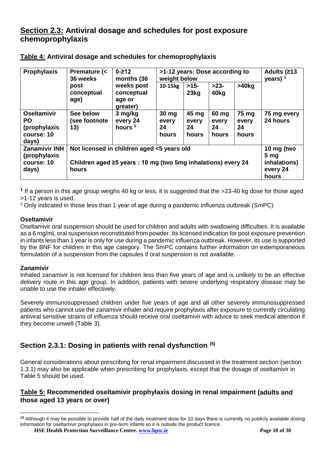## **Section 2.3: Antiviral dosage and schedules for post exposure chemoprophylaxis**

| <b>Prophylaxis</b>                                                     | $0 - 212$<br><b>Premature (&lt;</b><br>36 weeks<br>months (36                                                       |                                                |                                          | >1-12 years: Dose according to<br>weight below                     |                               |                               |                         |
|------------------------------------------------------------------------|---------------------------------------------------------------------------------------------------------------------|------------------------------------------------|------------------------------------------|--------------------------------------------------------------------|-------------------------------|-------------------------------|-------------------------|
|                                                                        | post<br>conceptual<br>age)                                                                                          | weeks post<br>conceptual<br>age or<br>greater) | 10-15kg                                  | $>15-$<br>23kg                                                     | $>23-$<br>40 <sub>kg</sub>    | $>40$ kg                      |                         |
| <b>Oseltamivir</b><br><b>PO</b><br>(prophylaxis<br>course: 10<br>days) | See below<br>(see footnote<br>13)                                                                                   | 3 mg/kg<br>every 24<br>hours $2$               | 30 <sub>mg</sub><br>every<br>24<br>hours | 45 mg<br>every<br>24<br>hours                                      | 60 mg<br>every<br>24<br>hours | 75 mg<br>every<br>24<br>hours | 75 mg every<br>24 hours |
| <b>Zanamivir INH</b><br>(prophylaxis<br>course: 10<br>days)            | Not licensed in children aged <5 years old<br>Children aged ≥5 years: 10 mg (two 5mg inhalations) every 24<br>hours |                                                |                                          | 10 mg (two<br>5 <sub>mg</sub><br>inhalations)<br>every 24<br>hours |                               |                               |                         |

**Table 4: Antiviral dosage and schedules for chemoprophylaxis** 

**1** If a person in this age group weighs 40 kg or less, it is suggested that the >23-40 kg dose for those aged >1-12 years is used.

 $2$  Only indicated in those less than 1 year of age during a pandemic influenza outbreak (SmPC)

#### **Oseltamivir**

Oseltamivir oral suspension should be used for children and adults with swallowing difficulties. It is available as a 6 mg/mL oral suspension reconstituted from powder. Its licensed indication for post exposure prevention in infants less than 1 year is only for use during a pandemic influenza outbreak. However, its use is supported by the BNF for children in this age category. The SmPC contains further information on extemporaneous formulation of a suspension from the capsules if oral suspension is not available.

#### **Zanamivir**

Inhaled zanamivir is not licensed for children less than five years of age and is unlikely to be an effective delivery route in this age group. In addition, patients with severe underlying respiratory disease may be unable to use the inhaler effectively.

Severely immunosuppressed children under five years of age and all other severely immunosuppressed patients who cannot use the zanamivir inhaler and require prophylaxis after exposure to currently circulating antiviral sensitive strains of influenza should receive oral oseltamivir with advice to seek medical attention if they become unwell (Table 3).

## <span id="page-17-0"></span>**Section 2.3.1: Dosing in patients with renal dysfunction (5)**

General considerations about prescribing for renal impairment discussed in the treatment section (section 1.3.1) may also be applicable when prescribing for prophylaxis, except that the dosage of oseltamivir in Table 5 should be used.

### **Table 5: Recommended oseltamivir prophylaxis dosing in renal impairment (adults and those aged 13 years or over)**

 **<sup>13</sup>** Although it may be possible to provide half of the daily treatment dose for 10 days there is currently no publicly available dosing information for oseltamivir prophylaxis in pre-term infants so it is outside the product licence.

**HSE Health Protection Surveillance Centre. [www.hpsc.ie](http://www.hpsc.ie/) Page 18 of 30**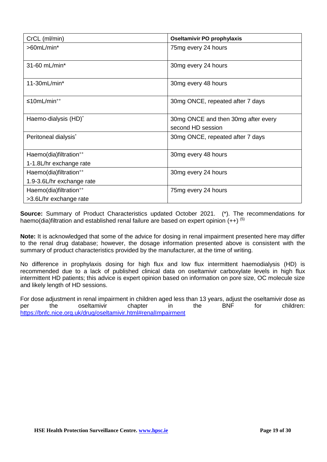| CrCL (ml/min)                      | <b>Oseltamivir PO prophylaxis</b>   |
|------------------------------------|-------------------------------------|
| $>60$ mL/min*                      | 75mg every 24 hours                 |
|                                    |                                     |
| 31-60 mL/min*                      | 30mg every 24 hours                 |
| $11-30mL/min*$                     | 30mg every 48 hours                 |
|                                    |                                     |
| $≤10mL/min++$                      | 30mg ONCE, repeated after 7 days    |
|                                    |                                     |
| Haemo-dialysis (HD)*               | 30mg ONCE and then 30mg after every |
|                                    | second HD session                   |
| Peritoneal dialysis <sup>®</sup>   | 30mg ONCE, repeated after 7 days    |
|                                    |                                     |
| Haemo(dia)filtration <sup>++</sup> | 30mg every 48 hours                 |
| 1-1.8L/hr exchange rate            |                                     |
| Haemo(dia)filtration <sup>++</sup> | 30mg every 24 hours                 |
| 1.9-3.6L/hr exchange rate          |                                     |
| Haemo(dia)filtration <sup>++</sup> | 75mg every 24 hours                 |
| >3.6L/hr exchange rate             |                                     |

**Source:** Summary of Product Characteristics updated October 2021. (\*). The recommendations for haemo(dia)filtration and established renal failure are based on expert opinion  $(++)$   $^{(5)}$ 

**Note:** It is acknowledged that some of the advice for dosing in renal impairment presented here may differ to the renal drug database; however, the dosage information presented above is consistent with the summary of product characteristics provided by the manufacturer, at the time of writing.

No difference in prophylaxis dosing for high flux and low flux intermittent haemodialysis (HD) is recommended due to a lack of published clinical data on oseltamivir carboxylate levels in high flux intermittent HD patients; this advice is expert opinion based on information on pore size, OC molecule size and likely length of HD sessions.

For dose adjustment in renal impairment in children aged less than 13 years, adjust the oseltamivir dose as<br>ner and the selfamivir chapter in the BNF for children per the oseltamivir chapter in the BNF for children: <https://bnfc.nice.org.uk/drug/oseltamivir.html#renalImpairment>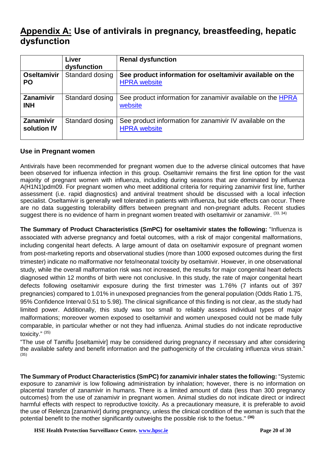# <span id="page-19-0"></span>**Appendix A: Use of antivirals in pregnancy, breastfeeding, hepatic dysfunction**

|                                 | Liver<br>dysfunction | <b>Renal dysfunction</b>                                                         |
|---------------------------------|----------------------|----------------------------------------------------------------------------------|
| <b>Oseltamivir</b><br><b>PO</b> | Standard dosing      | See product information for oseltamivir available on the<br><b>HPRA</b> website  |
| <b>Zanamivir</b><br><b>INH</b>  | Standard dosing      | See product information for zanamivir available on the HPRA<br>website           |
| Zanamivir<br>solution IV        | Standard dosing      | See product information for zanamivir IV available on the<br><b>HPRA</b> website |

#### **Use in Pregnant women**

Antivirals have been recommended for pregnant women due to the adverse clinical outcomes that have been observed for influenza infection in this group. Oseltamivir remains the first line option for the vast majority of pregnant women with influenza, including during seasons that are dominated by influenza A(H1N1)pdm09. For pregnant women who meet additional criteria for requiring zanamivir first line, further assessment (i.e. rapid diagnostics) and antiviral treatment should be discussed with a local infection specialist. Oseltamivir is generally well tolerated in patients with influenza, but side effects can occur. There are no data suggesting tolerability differs between pregnant and non-pregnant adults. Recent studies suggest there is no evidence of harm in pregnant women treated with oseltamivir or zanamivir. (33, 34)

**The Summary of Product Characteristics (SmPC) for oseltamivir states the following:** "Influenza is associated with adverse pregnancy and foetal outcomes, with a risk of major congenital malformations, including congenital heart defects. A large amount of data on oseltamivir exposure of pregnant women from post-marketing reports and observational studies (more than 1000 exposed outcomes during the first trimester) indicate no malformative nor feto/neonatal toxicity by oseltamivir. However, in one observational study, while the overall malformation risk was not increased, the results for major congenital heart defects diagnosed within 12 months of birth were not conclusive. In this study, the rate of major congenital heart defects following oseltamivir exposure during the first trimester was 1.76% (7 infants out of 397 pregnancies) compared to 1.01% in unexposed pregnancies from the general population (Odds Ratio 1.75, 95% Confidence Interval 0.51 to 5.98). The clinical significance of this finding is not clear, as the study had limited power. Additionally, this study was too small to reliably assess individual types of major malformations; moreover women exposed to oseltamivir and women unexposed could not be made fully comparable, in particular whether or not they had influenza. Animal studies do not indicate reproductive toxicity." (35)

"The use of Tamiflu [oseltamivir] may be considered during pregnancy if necessary and after considering the available safety and benefit information and the pathogenicity of the circulating influenza virus strain." (35)

**The Summary of Product Characteristics (SmPC) for zanamivir inhaler states the following:** "Systemic exposure to zanamivir is low following administration by inhalation; however, there is no information on placental transfer of zanamivir in humans. There is a limited amount of data (less than 300 pregnancy outcomes) from the use of zanamivir in pregnant women. Animal studies do not indicate direct or indirect harmful effects with respect to reproductive toxicity. As a precautionary measure, it is preferable to avoid the use of Relenza [zanamivir] during pregnancy, unless the clinical condition of the woman is such that the potential benefit to the mother significantly outweighs the possible risk to the foetus." **(36)**

**HSE Health Protection Surveillance Centre. [www.hpsc.ie](http://www.hpsc.ie/) Page 20 of 30**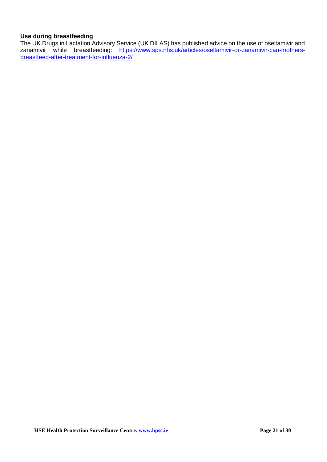#### **Use during breastfeeding**

The UK Drugs in Lactation Advisory Service (UK DILAS) has published advice on the use of oseltamivir and zanamivir while breastfeeding: [https://www.sps.nhs.uk/articles/oseltamivir-or-zanamivir-can-mothers](https://www.sps.nhs.uk/articles/oseltamivir-or-zanamivir-can-mothers-breastfeed-after-treatment-for-influenza-2/)[breastfeed-after-treatment-for-influenza-2/](https://www.sps.nhs.uk/articles/oseltamivir-or-zanamivir-can-mothers-breastfeed-after-treatment-for-influenza-2/)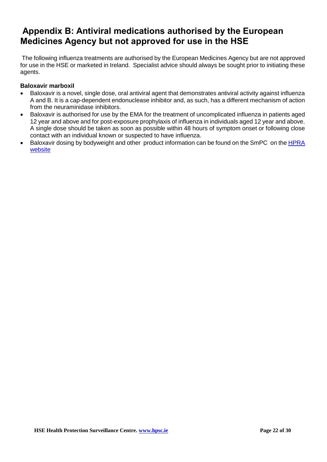# <span id="page-21-0"></span>**Appendix B: Antiviral medications authorised by the European Medicines Agency but not approved for use in the HSE**

The following influenza treatments are authorised by the European Medicines Agency but are not approved for use in the HSE or marketed in Ireland. Specialist advice should always be sought prior to initiating these agents.

#### **Baloxavir marboxil**

- Baloxavir is a novel, single dose, oral antiviral agent that demonstrates antiviral activity against influenza A and B. It is a cap-dependent endonuclease inhibitor and, as such, has a different mechanism of action from the neuraminidase inhibitors.
- Baloxavir is authorised for use by the EMA for the treatment of uncomplicated influenza in patients aged 12 year and above and for post-exposure prophylaxis of influenza in individuals aged 12 year and above. A single dose should be taken as soon as possible within 48 hours of symptom onset or following close contact with an individual known or suspected to have influenza.
- Baloxavir dosing by bodyweight and other product information can be found on the SmPC on th[e HPRA](https://www.hpra.ie/homepage/medicines/medicines-information/find-a-medicine/results/item?pano=EU/1/20/1500/001&t=Xofluza)  [website](https://www.hpra.ie/homepage/medicines/medicines-information/find-a-medicine/results/item?pano=EU/1/20/1500/001&t=Xofluza)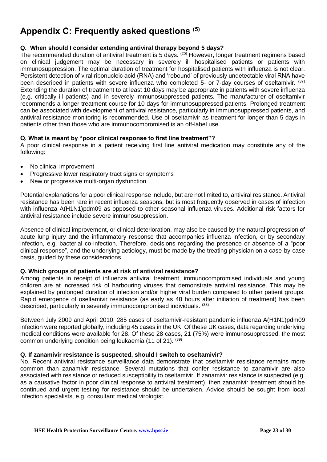# <span id="page-22-0"></span>**Appendix C: Frequently asked questions (5)**

#### **Q. When should I consider extending antiviral therapy beyond 5 days?**

The recommended duration of antiviral treatment is 5 days. (20) However, longer treatment regimens based on clinical judgement may be necessary in severely ill hospitalised patients or patients with immunosuppression. The optimal duration of treatment for hospitalised patients with influenza is not clear. Persistent detection of viral ribonucleic acid (RNA) and 'rebound' of previously undetectable viral RNA have been described in patients with severe influenza who completed 5- or 7-day courses of oseltamivir. (37) Extending the duration of treatment to at least 10 days may be appropriate in patients with severe influenza (e.g. critically ill patients) and in severely immunosuppressed patients. The manufacturer of oseltamivir recommends a longer treatment course for 10 days for immunosuppressed patients. Prolonged treatment can be associated with development of antiviral resistance, particularly in immunosuppressed patients, and antiviral resistance monitoring is recommended. Use of oseltamivir as treatment for longer than 5 days in patients other than those who are immunocompromised is an off-label use.

#### **Q. What is meant by "poor clinical response to first line treatment"?**

A poor clinical response in a patient receiving first line antiviral medication may constitute any of the following:

- No clinical improvement
- Progressive lower respiratory tract signs or symptoms
- New or progressive multi-organ dysfunction

Potential explanations for a poor clinical response include, but are not limited to, antiviral resistance. Antiviral resistance has been rare in recent influenza seasons, but is most frequently observed in cases of infection with influenza A(H1N1)pdm09 as opposed to other seasonal influenza viruses. Additional risk factors for antiviral resistance include severe immunosuppression.

Absence of clinical improvement, or clinical deterioration, may also be caused by the natural progression of acute lung injury and the inflammatory response that accompanies influenza infection, or by secondary infection, e.g. bacterial co-infection. Therefore, decisions regarding the presence or absence of a "poor clinical response", and the underlying aetiology, must be made by the treating physician on a case-by-case basis, guided by these considerations.

#### **Q. Which groups of patients are at risk of antiviral resistance?**

Among patients in receipt of influenza antiviral treatment, immunocompromised individuals and young children are at increased risk of harbouring viruses that demonstrate antiviral resistance. This may be explained by prolonged duration of infection and/or higher viral burden compared to other patient groups. Rapid emergence of oseltamivir resistance (as early as 48 hours after initiation of treatment) has been described, particularly in severely immunocompromised individuals. (38)

Between July 2009 and April 2010, 285 cases of oseltamivir-resistant pandemic influenza A(H1N1)pdm09 infection were reported globally, including 45 cases in the UK. Of these UK cases, data regarding underlying medical conditions were available for 28. Of these 28 cases, 21 (75%) were immunosuppressed, the most common underlying condition being leukaemia (11 of 21). (39)

#### **Q. If zanamivir resistance is suspected, should I switch to oseltamivir?**

No. Recent antiviral resistance surveillance data demonstrate that oseltamivir resistance remains more common than zanamivir resistance. Several mutations that confer resistance to zanamivir are also associated with resistance or reduced susceptibility to oseltamivir. If zanamivir resistance is suspected (e.g. as a causative factor in poor clinical response to antiviral treatment), then zanamivir treatment should be continued and urgent testing for resistance should be undertaken. Advice should be sought from local infection specialists, e.g. consultant medical virologist.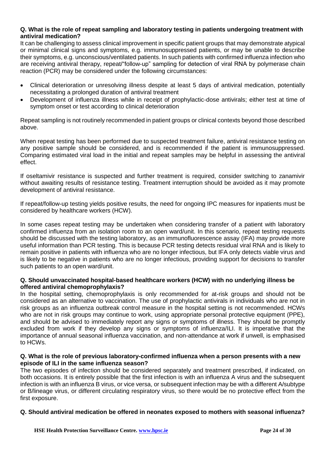#### **Q. What is the role of repeat sampling and laboratory testing in patients undergoing treatment with antiviral medication?**

It can be challenging to assess clinical improvement in specific patient groups that may demonstrate atypical or minimal clinical signs and symptoms, e.g. immunosuppressed patients, or may be unable to describe their symptoms, e.g. unconscious/ventilated patients. In such patients with confirmed influenza infection who are receiving antiviral therapy, repeat/"follow-up" sampling for detection of viral RNA by polymerase chain reaction (PCR) may be considered under the following circumstances:

- Clinical deterioration or unresolving illness despite at least 5 days of antiviral medication, potentially necessitating a prolonged duration of antiviral treatment
- Development of influenza illness while in receipt of prophylactic-dose antivirals; either test at time of symptom onset or test according to clinical deterioration

Repeat sampling is not routinely recommended in patient groups or clinical contexts beyond those described above.

When repeat testing has been performed due to suspected treatment failure, antiviral resistance testing on any positive sample should be considered, and is recommended if the patient is immunosuppressed. Comparing estimated viral load in the initial and repeat samples may be helpful in assessing the antiviral effect.

If oseltamivir resistance is suspected and further treatment is required, consider switching to zanamivir without awaiting results of resistance testing. Treatment interruption should be avoided as it may promote development of antiviral resistance.

If repeat/follow-up testing yields positive results, the need for ongoing IPC measures for inpatients must be considered by healthcare workers (HCW).

In some cases repeat testing may be undertaken when considering transfer of a patient with laboratory confirmed influenza from an isolation room to an open ward/unit. In this scenario, repeat testing requests should be discussed with the testing laboratory, as an immunofluorescence assay (IFA) may provide more useful information than PCR testing. This is because PCR testing detects residual viral RNA and is likely to remain positive in patients with influenza who are no longer infectious, but IFA only detects viable virus and is likely to be negative in patients who are no longer infectious, providing support for decisions to transfer such patients to an open ward/unit.

#### **Q. Should unvaccinated hospital-based healthcare workers (HCW) with no underlying illness be offered antiviral chemoprophylaxis?**

In the hospital setting, chemoprophylaxis is only recommended for at-risk groups and should not be considered as an alternative to vaccination. The use of prophylactic antivirals in individuals who are not in risk groups as an influenza outbreak control measure in the hospital setting is not recommended. HCWs who are not in risk groups may continue to work, using appropriate personal protective equipment (PPE), and should be advised to immediately report any signs or symptoms of illness. They should be promptly excluded from work if they develop any signs or symptoms of influenza/ILI. It is imperative that the importance of annual seasonal influenza vaccination, and non-attendance at work if unwell, is emphasised to HCWs.

#### **Q. What is the role of previous laboratory-confirmed influenza when a person presents with a new episode of ILI in the same influenza season?**

The two episodes of infection should be considered separately and treatment prescribed, if indicated, on both occasions. It is entirely possible that the first infection is with an influenza A virus and the subsequent infection is with an influenza B virus, or vice versa, or subsequent infection may be with a different A/subtype or B/lineage virus, or different circulating respiratory virus, so there would be no protective effect from the first exposure.

#### **Q. Should antiviral medication be offered in neonates exposed to mothers with seasonal influenza?**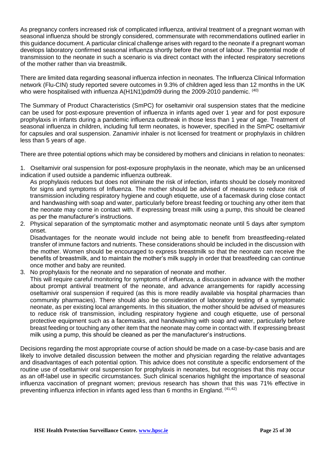As pregnancy confers increased risk of complicated influenza, antiviral treatment of a pregnant woman with seasonal influenza should be strongly considered, commensurate with recommendations outlined earlier in this guidance document. A particular clinical challenge arises with regard to the neonate if a pregnant woman develops laboratory confirmed seasonal influenza shortly before the onset of labour. The potential mode of transmission to the neonate in such a scenario is via direct contact with the infected respiratory secretions of the mother rather than via breastmilk.

There are limited data regarding seasonal influenza infection in neonates. The Influenza Clinical Information network (Flu-CIN) study reported severe outcomes in 9.3% of children aged less than 12 months in the UK who were hospitalised with influenza A(H1N1)pdm09 during the 2009-2010 pandemic. (40)

The Summary of Product Characteristics (SmPC) for oseltamivir oral suspension states that the medicine can be used for post-exposure prevention of influenza in infants aged over 1 year and for post exposure prophylaxis in infants during a pandemic influenza outbreak in those less than 1 year of age. Treatment of seasonal influenza in children, including full term neonates, is however, specified in the SmPC oseltamivir for capsules and oral suspension. Zanamivir inhaler is not licensed for treatment or prophylaxis in children less than 5 years of age.

There are three potential options which may be considered by mothers and clinicians in relation to neonates:

1. Oseltamivir oral suspension for post-exposure prophylaxis in the neonate, which may be an unlicensed indication if used outside a pandemic influenza outbreak.

As prophylaxis reduces but does not eliminate the risk of infection, infants should be closely monitored for signs and symptoms of Influenza. The mother should be advised of measures to reduce risk of transmission including respiratory hygiene and cough etiquette, use of a facemask during close contact and handwashing with soap and water, particularly before breast feeding or touching any other item that the neonate may come in contact with. If expressing breast milk using a pump, this should be cleaned as per the manufacturer's instructions.

2. Physical separation of the symptomatic mother and asymptomatic neonate until 5 days after symptom onset.

Disadvantages for the neonate would include not being able to benefit from breastfeeding-related transfer of immune factors and nutrients. These considerations should be included in the discussion with the mother. Women should be encouraged to express breastmilk so that the neonate can receive the benefits of breastmilk, and to maintain the mother's milk supply in order that breastfeeding can continue once mother and baby are reunited.

3. No prophylaxis for the neonate and no separation of neonate and mother.

This will require careful monitoring for symptoms of influenza, a discussion in advance with the mother about prompt antiviral treatment of the neonate, and advance arrangements for rapidly accessing oseltamivir oral suspension if required (as this is more readily available via hospital pharmacies than community pharmacies). There should also be consideration of laboratory testing of a symptomatic neonate, as per existing local arrangements. In this situation, the mother should be advised of measures to reduce risk of transmission, including respiratory hygiene and cough etiquette, use of personal protective equipment such as a facemasks, and handwashing with soap and water, particularly before breast feeding or touching any other item that the neonate may come in contact with. If expressing breast milk using a pump, this should be cleaned as per the manufacturer's instructions.

Decisions regarding the most appropriate course of action should be made on a case-by-case basis and are likely to involve detailed discussion between the mother and physician regarding the relative advantages and disadvantages of each potential option. This advice does not constitute a specific endorsement of the routine use of oseltamivir oral suspension for prophylaxis in neonates, but recognises that this may occur as an off-label use in specific circumstances. Such clinical scenarios highlight the importance of seasonal influenza vaccination of pregnant women; previous research has shown that this was 71% effective in preventing influenza infection in infants aged less than 6 months in England. (41,42)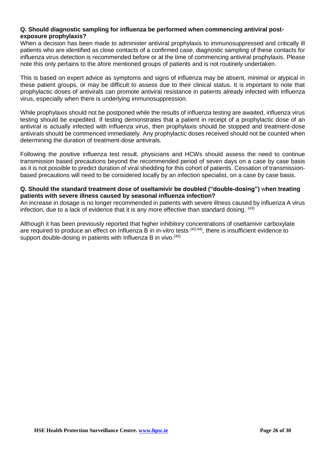#### **Q. Should diagnostic sampling for influenza be performed when commencing antiviral postexposure prophylaxis?**

When a decision has been made to administer antiviral prophylaxis to immunosuppressed and critically ill patients who are identified as close contacts of a confirmed case, diagnostic sampling of these contacts for influenza virus detection is recommended before or at the time of commencing antiviral prophylaxis. Please note this only pertains to the afore mentioned groups of patients and is not routinely undertaken.

This is based on expert advice as symptoms and signs of influenza may be absent, minimal or atypical in these patient groups, or may be difficult to assess due to their clinical status. It is important to note that prophylactic doses of antivirals can promote antiviral resistance in patients already infected with influenza virus, especially when there is underlying immunosuppression.

While prophylaxis should not be postponed while the results of influenza testing are awaited, influenza virus testing should be expedited. If testing demonstrates that a patient in receipt of a prophylactic dose of an antiviral is actually infected with influenza virus, then prophylaxis should be stopped and treatment-dose antivirals should be commenced immediately. Any prophylactic doses received should not be counted when determining the duration of treatment-dose antivirals.

Following the positive influenza test result, physicians and HCWs should assess the need to continue transmission based precautions beyond the recommended period of seven days on a case by case basis as it is not possible to predict duration of viral shedding for this cohort of patients. Cessation of transmissionbased precautions will need to be considered locally by an infection specialist, on a case by case basis.

#### **Q. Should the standard treatment dose of oseltamivir be doubled ("double-dosing")** w**hen treating patients with severe illness caused by seasonal influenza infection?**

An increase in dosage is no longer recommended in patients with severe illness caused by influenza A virus infection, due to a lack of evidence that it is any more effective than standard dosing.  $^{(43)}$ 

Although it has been previously reported that higher inhibitory concentrations of oseltamivir carboxylate are required to produce an effect on Influenza B in in-vitro tests <sup>(43,44)</sup>, there is insufficient evidence to support double-dosing in patients with Influenza B in vivo.<sup>(45)</sup>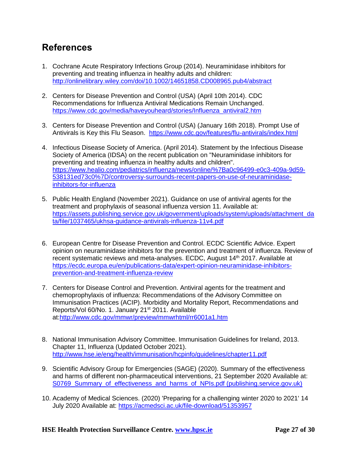# **References**

- <span id="page-26-0"></span>1. Cochrane Acute Respiratory Infections Group (2014). Neuraminidase inhibitors for preventing and treating influenza in healthy adults and children: <http://onlinelibrary.wiley.com/doi/10.1002/14651858.CD008965.pub4/abstract>
- 2. Centers for Disease Prevention and Control (USA) (April 10th 2014). CDC Recommendations for Influenza Antiviral Medications Remain Unchanged. [https://www.cdc.gov/media/haveyouheard/stories/Influenza\\_antiviral2.htm](https://www.cdc.gov/media/haveyouheard/stories/Influenza_antiviral2.htm)
- 3. Centers for Disease Prevention and Control (USA) (January 16th 2018). Prompt Use of Antivirals is Key this Flu Season. <https://www.cdc.gov/features/flu-antivirals/index.html>
- 4. Infectious Disease Society of America. (April 2014). Statement by the Infectious Disease Society of America (IDSA) on the recent publication on "Neuraminidase inhibitors for preventing and treating influenza in healthy adults and children". [https://www.healio.com/pediatrics/influenza/news/online/%7Ba0c96499-e0c3-409a-9d59-](https://www.healio.com/pediatrics/influenza/news/online/%7Ba0c96499-e0c3-409a-9d59-538131ed73c0%7D/controversy-surrounds-recent-papers-on-use-of-neuraminidase-inhibitors-for-influenza) [538131ed73c0%7D/controversy-surrounds-recent-papers-on-use-of-neuraminidase](https://www.healio.com/pediatrics/influenza/news/online/%7Ba0c96499-e0c3-409a-9d59-538131ed73c0%7D/controversy-surrounds-recent-papers-on-use-of-neuraminidase-inhibitors-for-influenza)[inhibitors-for-influenza](https://www.healio.com/pediatrics/influenza/news/online/%7Ba0c96499-e0c3-409a-9d59-538131ed73c0%7D/controversy-surrounds-recent-papers-on-use-of-neuraminidase-inhibitors-for-influenza)
- 5. Public Health England (November 2021). Guidance on use of antiviral agents for the treatment and prophylaxis of seasonal influenza version 11. Available at: [https://assets.publishing.service.gov.uk/government/uploads/system/uploads/attachment\\_da](https://assets.publishing.service.gov.uk/government/uploads/system/uploads/attachment_data/file/1037465/ukhsa-guidance-antivirals-influenza-11v4.pdf) [ta/file/1037465/ukhsa-guidance-antivirals-influenza-11v4.pdf](https://assets.publishing.service.gov.uk/government/uploads/system/uploads/attachment_data/file/1037465/ukhsa-guidance-antivirals-influenza-11v4.pdf)
- 6. European Centre for Disease Prevention and Control. ECDC Scientific Advice. Expert opinion on neuraminidase inhibitors for the prevention and treatment of influenza. Review of recent systematic reviews and meta-analyses. ECDC, August 14<sup>th</sup> 2017. Available at [https://ecdc.europa.eu/en/publications-data/expert-opinion-neuraminidase-inhibitors](https://ecdc.europa.eu/en/publications-data/expert-opinion-neuraminidase-inhibitors-prevention-and-treatment-influenza-review)[prevention-and-treatment-influenza-review](https://ecdc.europa.eu/en/publications-data/expert-opinion-neuraminidase-inhibitors-prevention-and-treatment-influenza-review)
- 7. Centers for Disease Control and Prevention. Antiviral agents for the treatment and chemoprophylaxis of influenza: Recommendations of the Advisory Committee on Immunisation Practices (ACIP). Morbidity and Mortality Report, Recommendations and Reports/Vol 60/No. 1. January 21<sup>st</sup> 2011. Available at[:http://www.cdc.gov/mmwr/preview/mmwrhtml/rr6001a1.htm](http://www.cdc.gov/mmwr/preview/mmwrhtml/rr6001a1.htm)
- 8. National Immunisation Advisory Committee. Immunisation Guidelines for Ireland, 2013. Chapter 11, Influenza (Updated October 2021). <http://www.hse.ie/eng/health/immunisation/hcpinfo/guidelines/chapter11.pdf>
- 9. Scientific Advisory Group for Emergencies (SAGE) (2020). Summary of the effectiveness and harms of different non-pharmaceutical interventions, 21 September 2020 Available at: S0769 Summary of effectiveness and harms of NPIs.pdf (publishing.service.gov.uk)
- 10. Academy of Medical Sciences. (2020) 'Preparing for a challenging winter 2020 to 2021' 14 July 2020 Available at: <https://acmedsci.ac.uk/file-download/51353957>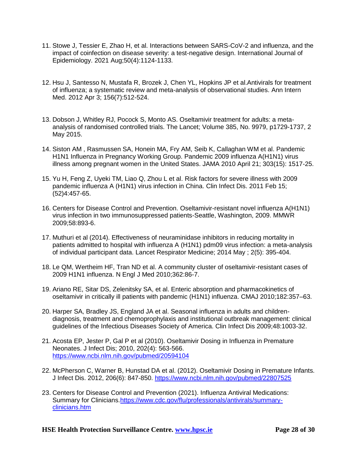- 11. Stowe J, Tessier E, Zhao H, et al. Interactions between SARS-CoV-2 and influenza, and the impact of coinfection on disease severity: a test-negative design. International Journal of Epidemiology. 2021 Aug;50(4):1124-1133.
- 12. Hsu J, Santesso N, Mustafa R, Brozek J, Chen YL, Hopkins JP et al.Antivirals for treatment of influenza; a systematic review and meta-analysis of observational studies. Ann Intern Med. 2012 Apr 3; 156(7):512-524.
- 13. Dobson J, Whitley RJ, Pocock S, Monto AS. Oseltamivir treatment for adults: a metaanalysis of randomised controlled trials. The Lancet; Volume 385, No. 9979, p1729-1737, 2 May 2015.
- 14. Siston AM , Rasmussen SA, Honein MA, Fry AM, Seib K, Callaghan WM et al. Pandemic H1N1 Influenza in Pregnancy Working Group. Pandemic 2009 influenza A(H1N1) virus illness among pregnant women in the United States. JAMA 2010 April 21; 303(15): 1517-25.
- 15. Yu H, Feng Z, Uyeki TM, Liao Q, Zhou L et al. Risk factors for severe illness with 2009 pandemic influenza A (H1N1) virus infection in China. Clin Infect Dis. 2011 Feb 15; (52)4:457-65.
- 16. Centers for Disease Control and Prevention. Oseltamivir-resistant novel influenza A(H1N1) virus infection in two immunosuppressed patients-Seattle, Washington, 2009. MMWR 2009;58:893-6.
- 17. Muthuri et al (2014). Effectiveness of neuraminidase inhibitors in reducing mortality in patients admitted to hospital with influenza A (H1N1) pdm09 virus infection: a meta-analysis of individual participant data. Lancet Respirator Medicine; 2014 May ; 2(5): 395-404.
- 18. Le QM, Wertheim HF, Tran ND et al. A community cluster of oseltamivir-resistant cases of 2009 H1N1 influenza. N Engl J Med 2010;362:86-7.
- 19. Ariano RE, Sitar DS, Zelenitsky SA, et al. Enteric absorption and pharmacokinetics of oseltamivir in critically ill patients with pandemic (H1N1) influenza. CMAJ 2010;182:357–63.
- 20. Harper SA, Bradley JS, England JA et al. Seasonal influenza in adults and childrendiagnosis, treatment and chemoprophylaxis and institutional outbreak management: clinical guidelines of the Infectious Diseases Society of America. Clin Infect Dis 2009;48:1003-32.
- 21. Acosta EP, Jester P, Gal P et al (2010). Oseltamivir Dosing in Influenza in Premature Neonates. J Infect Dis; 2010, 202(4): 563-566. <https://www.ncbi.nlm.nih.gov/pubmed/20594104>
- 22. McPherson C, Warner B, Hunstad DA et al. (2012). Oseltamivir Dosing in Premature Infants. J Infect Dis. 2012, 206(6): 847-850.<https://www.ncbi.nlm.nih.gov/pubmed/22807525>
- 23. Centers for Disease Control and Prevention (2021). Influenza Antiviral Medications: Summary for Clinicians[.https://www.cdc.gov/flu/professionals/antivirals/summary](https://www.cdc.gov/flu/professionals/antivirals/summary-clinicians.htm)[clinicians.htm](https://www.cdc.gov/flu/professionals/antivirals/summary-clinicians.htm)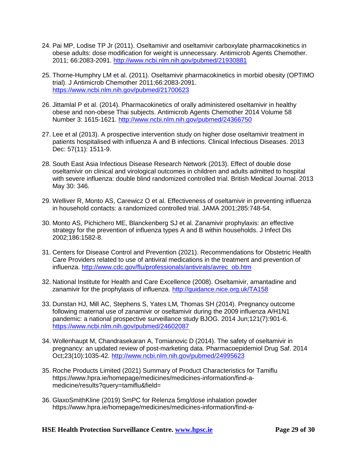- 24. Pai MP, Lodise TP Jr (2011). Oseltamivir and oseltamivir carboxylate pharmacokinetics in obese adults: dose modification for weight is unnecessary. Antimicrob Agents Chemother. 2011; 66:2083-2091.<http://www.ncbi.nlm.nih.gov/pubmed/21930881>
- 25. Thorne-Humphry LM et al. (2011). Oseltamivir pharmacokinetics in morbid obesity (OPTIMO trial). J Antimicrob Chemother 2011;66:2083-2091. <https://www.ncbi.nlm.nih.gov/pubmed/21700623>
- 26. Jittamlal P et al. (2014). Pharmacokinetics of orally administered oseltamivir in healthy obese and non-obese Thai subjects. Antimicrob Agents Chemother 2014 Volume 58 Number 3: 1615-1621.<http://www.ncbi.nlm.nih.gov/pubmed/24366750>
- 27. Lee et al (2013). A prospective intervention study on higher dose oseltamivir treatment in patients hospitalised with influenza A and B infections. Clinical Infectious Diseases. 2013 Dec: 57(11): 1511-9.
- 28. South East Asia Infectious Disease Research Network (2013). Effect of double dose oseltamivir on clinical and virological outcomes in children and adults admitted to hospital with severe influenza: double blind randomized controlled trial. British Medical Journal. 2013 May 30: 346.
- 29. Welliver R, Monto AS, Carewicz O et al. Effectiveness of oseltamivir in preventing influenza in household contacts: a randomized controlled trial. JAMA 2001;285:748-54.
- 30. Monto AS, Pichichero ME, Blanckenberg SJ et al. Zanamivir prophylaxis: an effective strategy for the prevention of influenza types A and B within households. J Infect Dis 2002;186:1582-8.
- 31. Centers for Disease Control and Prevention (2021). Recommendations for Obstetric Health Care Providers related to use of antiviral medications in the treatment and prevention of influenza. [http://www.cdc.gov/flu/professionals/antivirals/avrec\\_ob.htm](http://www.cdc.gov/flu/professionals/antivirals/avrec_ob.htm)
- 32. National Institute for Health and Care Excellence (2008). Oseltamivir, amantadine and zanamivir for the prophylaxis of influenza.<http://guidance.nice.org.uk/TA158>
- 33. Dunstan HJ, Mill AC, Stephens S, Yates LM, Thomas SH (2014). Pregnancy outcome following maternal use of zanamivir or oseltamivir during the 2009 influenza A/H1N1 pandemic: a national prospective surveillance study BJOG. 2014 Jun;121(7):901-6. <https://www.ncbi.nlm.nih.gov/pubmed/24602087>
- 34. Wollenhaupt M, Chandrasekaran A, Tomianovic D (2014). The safety of oseltamivir in pregnancy: an updated review of post-marketing data. Pharmacoepidemiol Drug Saf. 2014 Oct;23(10):1035-42. <http://www.ncbi.nlm.nih.gov/pubmed/24995623>
- 35. Roche Products Limited (2021) Summary of Product Characteristics for Tamiflu https://www.hpra.ie/homepage/medicines/medicines-information/find-amedicine/results?query=tamiflu&field=
- 36. GlaxoSmithKline (2019) SmPC for Relenza 5mg/dose inhalation powder https://www.hpra.ie/homepage/medicines/medicines-information/find-a-